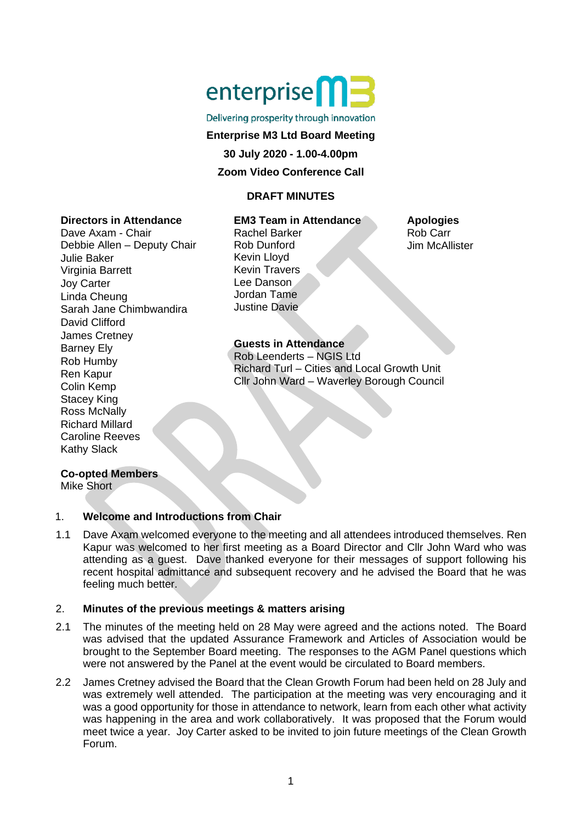

#### Delivering prosperity through innovation

## **Enterprise M3 Ltd Board Meeting**

**30 July 2020 - 1.00-4.00pm**

#### **Zoom Video Conference Call**

#### **DRAFT MINUTES**

## **Directors in Attendance**

Dave Axam - Chair Debbie Allen – Deputy Chair Julie Baker Virginia Barrett Joy Carter Linda Cheung Sarah Jane Chimbwandira David Clifford James Cretney Barney Ely Rob Humby Ren Kapur Colin Kemp Stacey King Ross McNally Richard Millard Caroline Reeves Kathy Slack

#### **EM3 Team in Attendance** Rachel Barker Rob Dunford Kevin Lloyd Kevin Travers Lee Danson Jordan Tame Justine Davie

# **Guests in Attendance**

Rob Leenderts – NGIS Ltd Richard Turl – Cities and Local Growth Unit Cllr John Ward – Waverley Borough Council

#### **Apologies** Rob Carr Jim McAllister

#### **Co-opted Members**

Mike Short

# 1. **Welcome and Introductions from Chair**

1.1 Dave Axam welcomed everyone to the meeting and all attendees introduced themselves. Ren Kapur was welcomed to her first meeting as a Board Director and Cllr John Ward who was attending as a guest. Dave thanked everyone for their messages of support following his recent hospital admittance and subsequent recovery and he advised the Board that he was feeling much better.

#### 2. **Minutes of the previous meetings & matters arising**

- 2.1 The minutes of the meeting held on 28 May were agreed and the actions noted. The Board was advised that the updated Assurance Framework and Articles of Association would be brought to the September Board meeting. The responses to the AGM Panel questions which were not answered by the Panel at the event would be circulated to Board members.
- 2.2 James Cretney advised the Board that the Clean Growth Forum had been held on 28 July and was extremely well attended. The participation at the meeting was very encouraging and it was a good opportunity for those in attendance to network, learn from each other what activity was happening in the area and work collaboratively. It was proposed that the Forum would meet twice a year. Joy Carter asked to be invited to join future meetings of the Clean Growth Forum.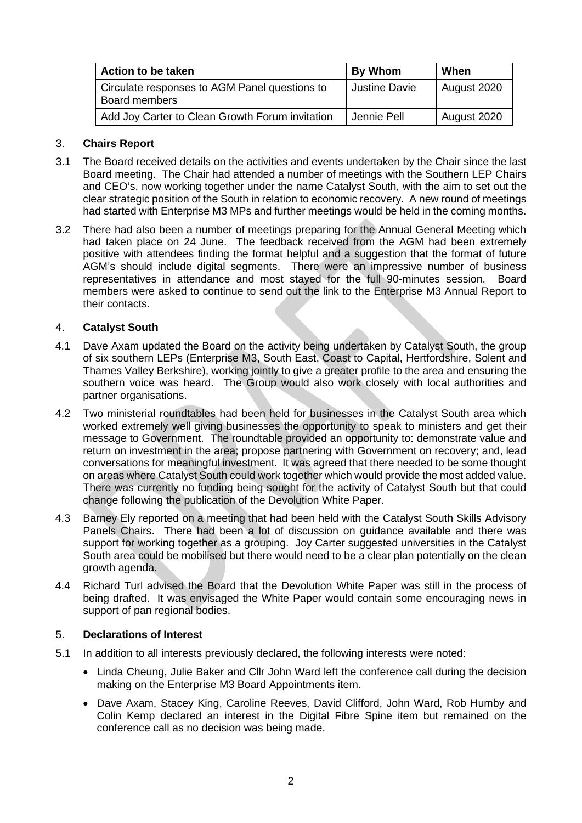| Action to be taken                                             | By Whom       | When        |
|----------------------------------------------------------------|---------------|-------------|
| Circulate responses to AGM Panel questions to<br>Board members | Justine Davie | August 2020 |
| Add Joy Carter to Clean Growth Forum invitation                | Jennie Pell   | August 2020 |

## 3. **Chairs Report**

- 3.1 The Board received details on the activities and events undertaken by the Chair since the last Board meeting. The Chair had attended a number of meetings with the Southern LEP Chairs and CEO's, now working together under the name Catalyst South, with the aim to set out the clear strategic position of the South in relation to economic recovery. A new round of meetings had started with Enterprise M3 MPs and further meetings would be held in the coming months.
- 3.2 There had also been a number of meetings preparing for the Annual General Meeting which had taken place on 24 June. The feedback received from the AGM had been extremely positive with attendees finding the format helpful and a suggestion that the format of future AGM's should include digital segments. There were an impressive number of business representatives in attendance and most stayed for the full 90-minutes session. Board members were asked to continue to send out the link to the Enterprise M3 Annual Report to their contacts.

#### 4. **Catalyst South**

- 4.1 Dave Axam updated the Board on the activity being undertaken by Catalyst South, the group of six southern LEPs (Enterprise M3, South East, Coast to Capital, Hertfordshire, Solent and Thames Valley Berkshire), working jointly to give a greater profile to the area and ensuring the southern voice was heard. The Group would also work closely with local authorities and partner organisations.
- 4.2 Two ministerial roundtables had been held for businesses in the Catalyst South area which worked extremely well giving businesses the opportunity to speak to ministers and get their message to Government. The roundtable provided an opportunity to: demonstrate value and return on investment in the area; propose partnering with Government on recovery; and, lead conversations for meaningful investment. It was agreed that there needed to be some thought on areas where Catalyst South could work together which would provide the most added value. There was currently no funding being sought for the activity of Catalyst South but that could change following the publication of the Devolution White Paper.
- 4.3 Barney Ely reported on a meeting that had been held with the Catalyst South Skills Advisory Panels Chairs. There had been a lot of discussion on guidance available and there was support for working together as a grouping. Joy Carter suggested universities in the Catalyst South area could be mobilised but there would need to be a clear plan potentially on the clean growth agenda.
- 4.4 Richard Turl advised the Board that the Devolution White Paper was still in the process of being drafted. It was envisaged the White Paper would contain some encouraging news in support of pan regional bodies.

#### 5. **Declarations of Interest**

- 5.1 In addition to all interests previously declared, the following interests were noted:
	- Linda Cheung, Julie Baker and Cllr John Ward left the conference call during the decision making on the Enterprise M3 Board Appointments item.
	- Dave Axam, Stacey King, Caroline Reeves, David Clifford, John Ward, Rob Humby and Colin Kemp declared an interest in the Digital Fibre Spine item but remained on the conference call as no decision was being made.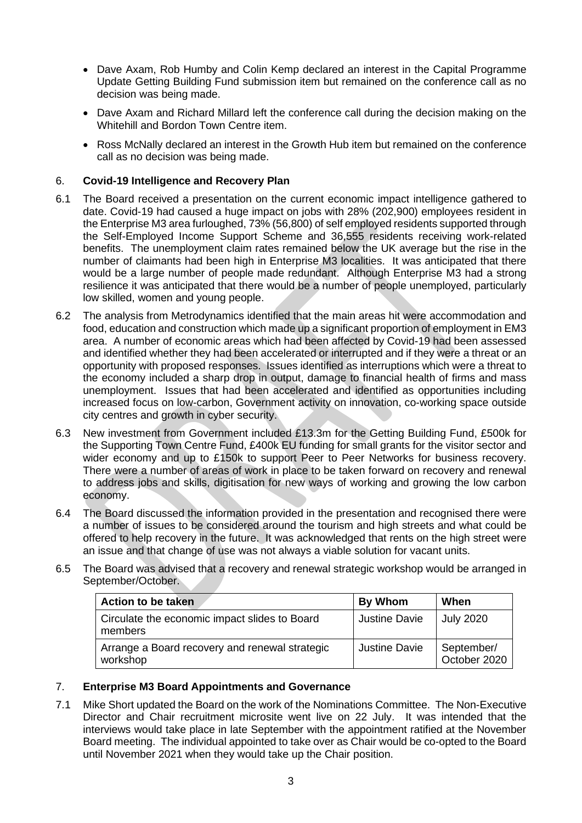- Dave Axam, Rob Humby and Colin Kemp declared an interest in the Capital Programme Update Getting Building Fund submission item but remained on the conference call as no decision was being made.
- Dave Axam and Richard Millard left the conference call during the decision making on the Whitehill and Bordon Town Centre item.
- Ross McNally declared an interest in the Growth Hub item but remained on the conference call as no decision was being made.

## 6. **Covid-19 Intelligence and Recovery Plan**

- 6.1 The Board received a presentation on the current economic impact intelligence gathered to date. Covid-19 had caused a huge impact on jobs with 28% (202,900) employees resident in the Enterprise M3 area furloughed, 73% (56,800) of self employed residents supported through the Self-Employed Income Support Scheme and 36,555 residents receiving work-related benefits. The unemployment claim rates remained below the UK average but the rise in the number of claimants had been high in Enterprise M3 localities. It was anticipated that there would be a large number of people made redundant. Although Enterprise M3 had a strong resilience it was anticipated that there would be a number of people unemployed, particularly low skilled, women and young people.
- 6.2 The analysis from Metrodynamics identified that the main areas hit were accommodation and food, education and construction which made up a significant proportion of employment in EM3 area. A number of economic areas which had been affected by Covid-19 had been assessed and identified whether they had been accelerated or interrupted and if they were a threat or an opportunity with proposed responses. Issues identified as interruptions which were a threat to the economy included a sharp drop in output, damage to financial health of firms and mass unemployment. Issues that had been accelerated and identified as opportunities including increased focus on low-carbon, Government activity on innovation, co-working space outside city centres and growth in cyber security.
- 6.3 New investment from Government included £13.3m for the Getting Building Fund, £500k for the Supporting Town Centre Fund, £400k EU funding for small grants for the visitor sector and wider economy and up to £150k to support Peer to Peer Networks for business recovery. There were a number of areas of work in place to be taken forward on recovery and renewal to address jobs and skills, digitisation for new ways of working and growing the low carbon economy.
- 6.4 The Board discussed the information provided in the presentation and recognised there were a number of issues to be considered around the tourism and high streets and what could be offered to help recovery in the future. It was acknowledged that rents on the high street were an issue and that change of use was not always a viable solution for vacant units.
- 6.5 The Board was advised that a recovery and renewal strategic workshop would be arranged in September/October.

| <b>Action to be taken</b>                                  | By Whom       | When                       |
|------------------------------------------------------------|---------------|----------------------------|
| Circulate the economic impact slides to Board<br>members   | Justine Davie | <b>July 2020</b>           |
| Arrange a Board recovery and renewal strategic<br>workshop | Justine Davie | September/<br>October 2020 |

#### 7. **Enterprise M3 Board Appointments and Governance**

7.1 Mike Short updated the Board on the work of the Nominations Committee. The Non-Executive Director and Chair recruitment microsite went live on 22 July. It was intended that the interviews would take place in late September with the appointment ratified at the November Board meeting. The individual appointed to take over as Chair would be co-opted to the Board until November 2021 when they would take up the Chair position.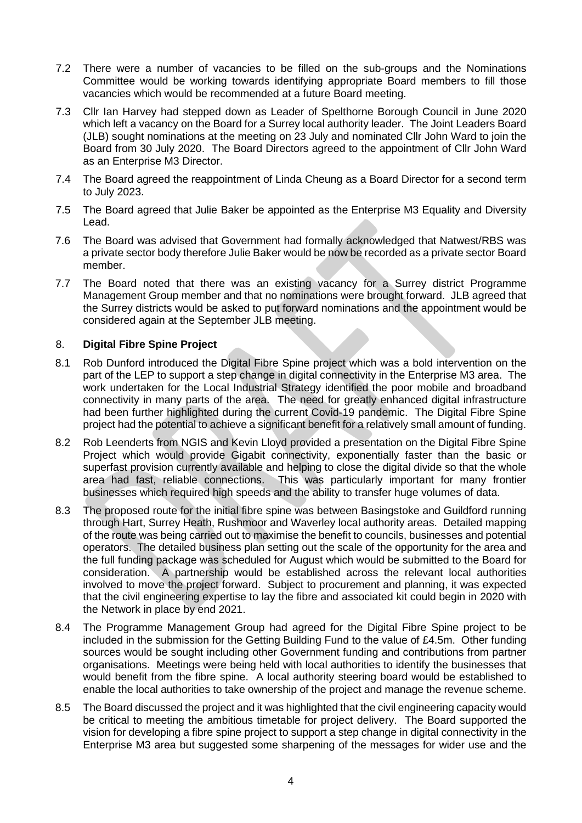- 7.2 There were a number of vacancies to be filled on the sub-groups and the Nominations Committee would be working towards identifying appropriate Board members to fill those vacancies which would be recommended at a future Board meeting.
- 7.3 Cllr Ian Harvey had stepped down as Leader of Spelthorne Borough Council in June 2020 which left a vacancy on the Board for a Surrey local authority leader. The Joint Leaders Board (JLB) sought nominations at the meeting on 23 July and nominated Cllr John Ward to join the Board from 30 July 2020. The Board Directors agreed to the appointment of Cllr John Ward as an Enterprise M3 Director.
- 7.4 The Board agreed the reappointment of Linda Cheung as a Board Director for a second term to July 2023.
- 7.5 The Board agreed that Julie Baker be appointed as the Enterprise M3 Equality and Diversity Lead.
- 7.6 The Board was advised that Government had formally acknowledged that Natwest/RBS was a private sector body therefore Julie Baker would be now be recorded as a private sector Board member.
- 7.7 The Board noted that there was an existing vacancy for a Surrey district Programme Management Group member and that no nominations were brought forward. JLB agreed that the Surrey districts would be asked to put forward nominations and the appointment would be considered again at the September JLB meeting.

#### 8. **Digital Fibre Spine Project**

- 8.1 Rob Dunford introduced the Digital Fibre Spine project which was a bold intervention on the part of the LEP to support a step change in digital connectivity in the Enterprise M3 area. The work undertaken for the Local Industrial Strategy identified the poor mobile and broadband connectivity in many parts of the area. The need for greatly enhanced digital infrastructure had been further highlighted during the current Covid-19 pandemic. The Digital Fibre Spine project had the potential to achieve a significant benefit for a relatively small amount of funding.
- 8.2 Rob Leenderts from NGIS and Kevin Lloyd provided a presentation on the Digital Fibre Spine Project which would provide Gigabit connectivity, exponentially faster than the basic or superfast provision currently available and helping to close the digital divide so that the whole area had fast, reliable connections. This was particularly important for many frontier businesses which required high speeds and the ability to transfer huge volumes of data.
- 8.3 The proposed route for the initial fibre spine was between Basingstoke and Guildford running through Hart, Surrey Heath, Rushmoor and Waverley local authority areas. Detailed mapping of the route was being carried out to maximise the benefit to councils, businesses and potential operators. The detailed business plan setting out the scale of the opportunity for the area and the full funding package was scheduled for August which would be submitted to the Board for consideration. A partnership would be established across the relevant local authorities involved to move the project forward. Subject to procurement and planning, it was expected that the civil engineering expertise to lay the fibre and associated kit could begin in 2020 with the Network in place by end 2021.
- 8.4 The Programme Management Group had agreed for the Digital Fibre Spine project to be included in the submission for the Getting Building Fund to the value of £4.5m. Other funding sources would be sought including other Government funding and contributions from partner organisations. Meetings were being held with local authorities to identify the businesses that would benefit from the fibre spine. A local authority steering board would be established to enable the local authorities to take ownership of the project and manage the revenue scheme.
- 8.5 The Board discussed the project and it was highlighted that the civil engineering capacity would be critical to meeting the ambitious timetable for project delivery. The Board supported the vision for developing a fibre spine project to support a step change in digital connectivity in the Enterprise M3 area but suggested some sharpening of the messages for wider use and the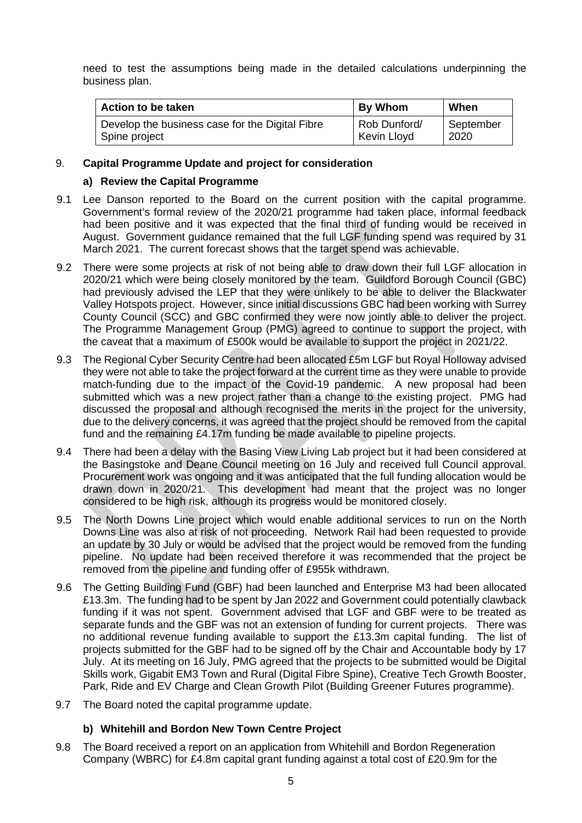need to test the assumptions being made in the detailed calculations underpinning the business plan.

| Action to be taken                              | <b>By Whom</b> | When      |
|-------------------------------------------------|----------------|-----------|
| Develop the business case for the Digital Fibre | Rob Dunford/   | September |
| Spine project                                   | Kevin Lloyd    | 2020      |

#### 9. **Capital Programme Update and project for consideration**

#### **a) Review the Capital Programme**

- 9.1 Lee Danson reported to the Board on the current position with the capital programme. Government's formal review of the 2020/21 programme had taken place, informal feedback had been positive and it was expected that the final third of funding would be received in August. Government guidance remained that the full LGF funding spend was required by 31 March 2021. The current forecast shows that the target spend was achievable.
- 9.2 There were some projects at risk of not being able to draw down their full LGF allocation in 2020/21 which were being closely monitored by the team. Guildford Borough Council (GBC) had previously advised the LEP that they were unlikely to be able to deliver the Blackwater Valley Hotspots project. However, since initial discussions GBC had been working with Surrey County Council (SCC) and GBC confirmed they were now jointly able to deliver the project. The Programme Management Group (PMG) agreed to continue to support the project, with the caveat that a maximum of £500k would be available to support the project in 2021/22.
- 9.3 The Regional Cyber Security Centre had been allocated £5m LGF but Royal Holloway advised they were not able to take the project forward at the current time as they were unable to provide match-funding due to the impact of the Covid-19 pandemic. A new proposal had been submitted which was a new project rather than a change to the existing project. PMG had discussed the proposal and although recognised the merits in the project for the university, due to the delivery concerns, it was agreed that the project should be removed from the capital fund and the remaining £4.17m funding be made available to pipeline projects.
- 9.4 There had been a delay with the Basing View Living Lab project but it had been considered at the Basingstoke and Deane Council meeting on 16 July and received full Council approval. Procurement work was ongoing and it was anticipated that the full funding allocation would be drawn down in 2020/21. This development had meant that the project was no longer considered to be high risk, although its progress would be monitored closely.
- 9.5 The North Downs Line project which would enable additional services to run on the North Downs Line was also at risk of not proceeding. Network Rail had been requested to provide an update by 30 July or would be advised that the project would be removed from the funding pipeline. No update had been received therefore it was recommended that the project be removed from the pipeline and funding offer of £955k withdrawn.
- 9.6 The Getting Building Fund (GBF) had been launched and Enterprise M3 had been allocated £13.3m. The funding had to be spent by Jan 2022 and Government could potentially clawback funding if it was not spent. Government advised that LGF and GBF were to be treated as separate funds and the GBF was not an extension of funding for current projects. There was no additional revenue funding available to support the £13.3m capital funding. The list of projects submitted for the GBF had to be signed off by the Chair and Accountable body by 17 July. At its meeting on 16 July, PMG agreed that the projects to be submitted would be Digital Skills work, Gigabit EM3 Town and Rural (Digital Fibre Spine), Creative Tech Growth Booster, Park, Ride and EV Charge and Clean Growth Pilot (Building Greener Futures programme).
- 9.7 The Board noted the capital programme update.

#### **b) Whitehill and Bordon New Town Centre Project**

9.8 The Board received a report on an application from Whitehill and Bordon Regeneration Company (WBRC) for £4.8m capital grant funding against a total cost of £20.9m for the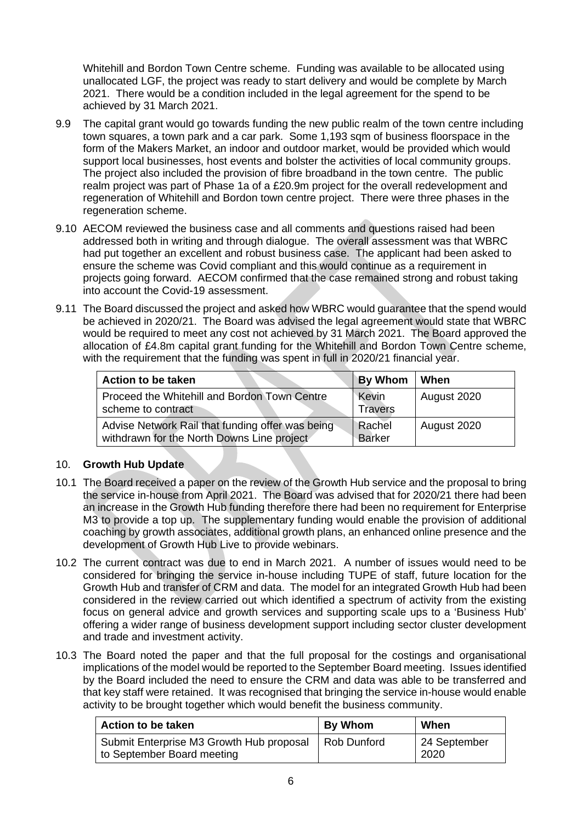Whitehill and Bordon Town Centre scheme. Funding was available to be allocated using unallocated LGF, the project was ready to start delivery and would be complete by March 2021. There would be a condition included in the legal agreement for the spend to be achieved by 31 March 2021.

- 9.9 The capital grant would go towards funding the new public realm of the town centre including town squares, a town park and a car park. Some 1,193 sqm of business floorspace in the form of the Makers Market, an indoor and outdoor market, would be provided which would support local businesses, host events and bolster the activities of local community groups. The project also included the provision of fibre broadband in the town centre. The public realm project was part of Phase 1a of a £20.9m project for the overall redevelopment and regeneration of Whitehill and Bordon town centre project. There were three phases in the regeneration scheme.
- 9.10 AECOM reviewed the business case and all comments and questions raised had been addressed both in writing and through dialogue. The overall assessment was that WBRC had put together an excellent and robust business case. The applicant had been asked to ensure the scheme was Covid compliant and this would continue as a requirement in projects going forward. AECOM confirmed that the case remained strong and robust taking into account the Covid-19 assessment.
- 9.11 The Board discussed the project and asked how WBRC would guarantee that the spend would be achieved in 2020/21. The Board was advised the legal agreement would state that WBRC would be required to meet any cost not achieved by 31 March 2021. The Board approved the allocation of £4.8m capital grant funding for the Whitehill and Bordon Town Centre scheme, with the requirement that the funding was spent in full in 2020/21 financial year.

| <b>Action to be taken</b>                                                                      | <b>By Whom</b>          | When        |
|------------------------------------------------------------------------------------------------|-------------------------|-------------|
| Proceed the Whitehill and Bordon Town Centre<br>scheme to contract                             | Kevin<br><b>Travers</b> | August 2020 |
| Advise Network Rail that funding offer was being<br>withdrawn for the North Downs Line project | Rachel<br>Barker        | August 2020 |

# 10. **Growth Hub Update**

- 10.1 The Board received a paper on the review of the Growth Hub service and the proposal to bring the service in-house from April 2021. The Board was advised that for 2020/21 there had been an increase in the Growth Hub funding therefore there had been no requirement for Enterprise M3 to provide a top up. The supplementary funding would enable the provision of additional coaching by growth associates, additional growth plans, an enhanced online presence and the development of Growth Hub Live to provide webinars.
- 10.2 The current contract was due to end in March 2021. A number of issues would need to be considered for bringing the service in-house including TUPE of staff, future location for the Growth Hub and transfer of CRM and data. The model for an integrated Growth Hub had been considered in the review carried out which identified a spectrum of activity from the existing focus on general advice and growth services and supporting scale ups to a 'Business Hub' offering a wider range of business development support including sector cluster development and trade and investment activity.
- 10.3 The Board noted the paper and that the full proposal for the costings and organisational implications of the model would be reported to the September Board meeting. Issues identified by the Board included the need to ensure the CRM and data was able to be transferred and that key staff were retained. It was recognised that bringing the service in-house would enable activity to be brought together which would benefit the business community.

| Action to be taken                                                     | <b>By Whom</b> | When                 |
|------------------------------------------------------------------------|----------------|----------------------|
| Submit Enterprise M3 Growth Hub proposal<br>to September Board meeting | Rob Dunford    | 24 September<br>2020 |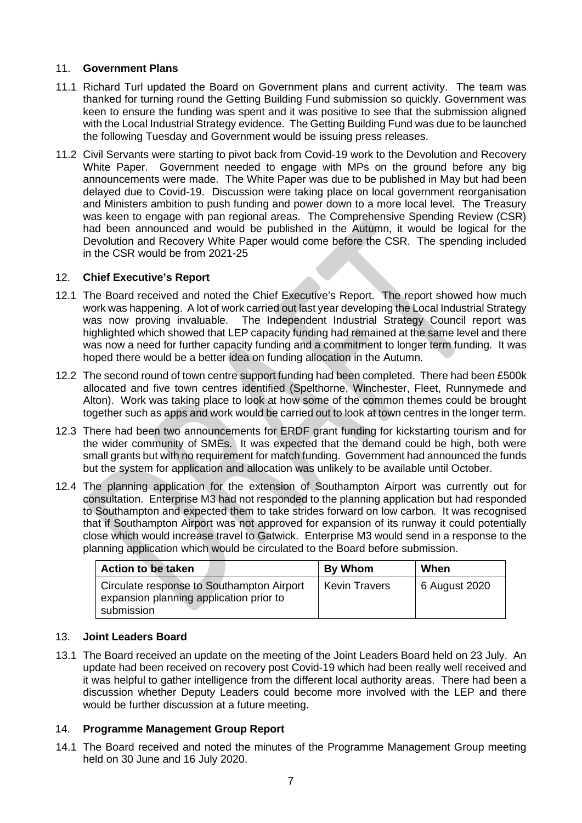## 11. **Government Plans**

- 11.1 Richard Turl updated the Board on Government plans and current activity. The team was thanked for turning round the Getting Building Fund submission so quickly. Government was keen to ensure the funding was spent and it was positive to see that the submission aligned with the Local Industrial Strategy evidence. The Getting Building Fund was due to be launched the following Tuesday and Government would be issuing press releases.
- 11.2 Civil Servants were starting to pivot back from Covid-19 work to the Devolution and Recovery White Paper. Government needed to engage with MPs on the ground before any big announcements were made. The White Paper was due to be published in May but had been delayed due to Covid-19. Discussion were taking place on local government reorganisation and Ministers ambition to push funding and power down to a more local level. The Treasury was keen to engage with pan regional areas. The Comprehensive Spending Review (CSR) had been announced and would be published in the Autumn, it would be logical for the Devolution and Recovery White Paper would come before the CSR. The spending included in the CSR would be from 2021-25

## 12. **Chief Executive's Report**

- 12.1 The Board received and noted the Chief Executive's Report. The report showed how much work was happening. A lot of work carried out last year developing the Local Industrial Strategy was now proving invaluable. The Independent Industrial Strategy Council report was highlighted which showed that LEP capacity funding had remained at the same level and there was now a need for further capacity funding and a commitment to longer term funding. It was hoped there would be a better idea on funding allocation in the Autumn.
- 12.2 The second round of town centre support funding had been completed. There had been £500k allocated and five town centres identified (Spelthorne, Winchester, Fleet, Runnymede and Alton). Work was taking place to look at how some of the common themes could be brought together such as apps and work would be carried out to look at town centres in the longer term.
- 12.3 There had been two announcements for ERDF grant funding for kickstarting tourism and for the wider community of SMEs. It was expected that the demand could be high, both were small grants but with no requirement for match funding. Government had announced the funds but the system for application and allocation was unlikely to be available until October.
- 12.4 The planning application for the extension of Southampton Airport was currently out for consultation. Enterprise M3 had not responded to the planning application but had responded to Southampton and expected them to take strides forward on low carbon. It was recognised that if Southampton Airport was not approved for expansion of its runway it could potentially close which would increase travel to Gatwick. Enterprise M3 would send in a response to the planning application which would be circulated to the Board before submission.

| <b>Action to be taken</b>                                                                          | <b>By Whom</b>       | When          |
|----------------------------------------------------------------------------------------------------|----------------------|---------------|
| Circulate response to Southampton Airport<br>expansion planning application prior to<br>submission | <b>Kevin Travers</b> | 6 August 2020 |

# 13. **Joint Leaders Board**

13.1 The Board received an update on the meeting of the Joint Leaders Board held on 23 July. An update had been received on recovery post Covid-19 which had been really well received and it was helpful to gather intelligence from the different local authority areas. There had been a discussion whether Deputy Leaders could become more involved with the LEP and there would be further discussion at a future meeting.

# 14. **Programme Management Group Report**

14.1 The Board received and noted the minutes of the Programme Management Group meeting held on 30 June and 16 July 2020.